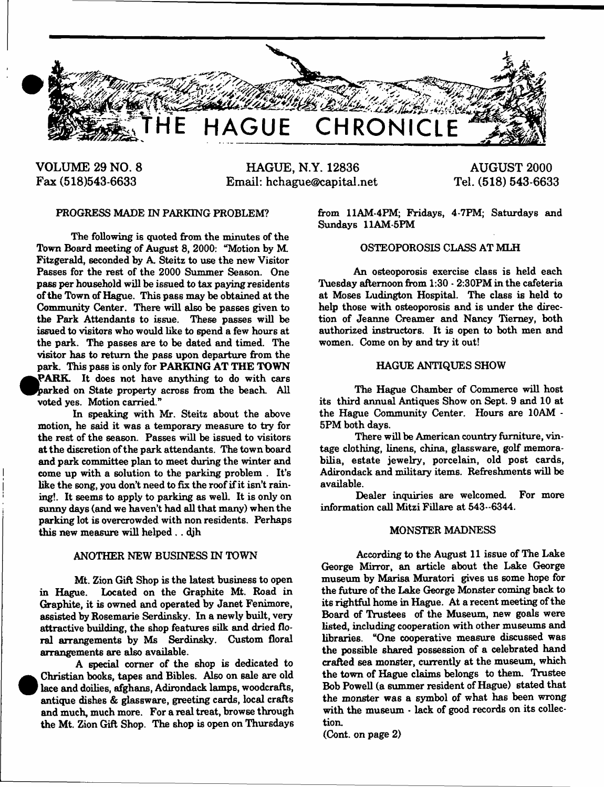

**VOLUME 29 NO. 8 Fax (518)543-6633**

**HAGUE, N.Y. 12836 Email: [hchague@capital.net](mailto:hchague@capital.net)**

**AUGUST 2000 Tel. (518) 543-6633**

# PROGRESS MADE IN PARKING PROBLEM?

The following is quoted from the minutes of the Town Board meeting of August 8, 2000: "Motion by M. Fitzgerald, seconded by A. Steitz to use the new Visitor Passes for the rest of the 2000 Summer Season. One pass per household will be issued to tax paying residents of the Town of Hague. This pass may be obtained at the Community Center. There will also be passes given to the Park Attendants to issue. These passes will be issued to visitors who would like to spend a few hours at the park. The passes are to be dated and timed. The visitor has to return the pass upon departure from the park. This pass is only for PARKING AT THE TOWN PARK. It does not have anything to do with cars parked on State property across from the beach. All voted yes. Motion carried."

In speaking with Mr. Steitz about the above motion, he said it was a temporary measure to try for the rest of the season. Passes will be issued to visitors at the discretion of the park attendants. The town board and park committee plan to meet during the winter and come up with a solution to the parking problem . It's like the song, you don't need to fix the roof if it isn't raining!. It seems to apply to parking as well. It is only on sunny days (and we haven't had all that many) when the parking lot is overcrowded with non residents. Perhaps this new measure will helped .. djh

## ANOTHER NEW BUSINESS IN TOWN

Mt. Zion Gift Shop is the latest business to open in Hague. Located on the Graphite Mt. Road in Graphite, it is owned and operated by Janet Fenimore, assisted by Rosemarie Serdinsky. In a newly built, very attractive building, the shop features silk and dried floral arrangements by Ms Serdinsky. Custom floral arrangements are also available.

A special corner of the shop is dedicated to Christian books, tapes and Bibles. Also on sale are old lace and doilies, afghans, Adirondack lamps, woodcrafts, antique dishes & glassware, greeting cards, local crafts and much, much more. For a real treat, browse through the Mt. Zion Gift Shop. The shop is open on Thursdays

 $\bullet$ 

from 11AM-4PM; Fridays, 4-7PM; Saturdays and Sundays 11AM-5PM

# OSTEOPOROSIS CLASS AT MLH

An osteoporosis exercise class is held each Tuesday afternoon from 1:30 - 2:30PM in the cafeteria at Moses Ludington Hospital. The class is held to help those with osteoporosis and is under the direction of Jeanne Creamer and Nancy Tierney, both authorized instructors. It is open to both men and women. Come on by and try it out!

## HAGUE ANTIQUES SHOW

The Hague Chamber of Commerce will host its third annual Antiques Show on Sept. 9 and 10 at the Hague Community Center. Hours are 10AM - 5PM both days.

There will be American country furniture, vintage clothing, linens, china, glassware, golf memorabilia, estate jewelry, porcelain, old post cards, Adirondack and military items. Refreshments will be available.

Dealer inquiries are welcomed. For more information call Mitzi Fillare at 543-6344.

#### MONSTER MADNESS

According to the August 11 issue of The Lake George Mirror, an article about the Lake George museum by Marisa Muratori gives us some hope for the future of the Lake George Monster coming back to its rightful home in Hague. At a recent meeting of the Board of Trustees of the Museum, new goals were listed, including cooperation with other museums and libraries. "One cooperative measure discussed was the possible shared possession of a celebrated hand crafted sea monster, currently at the museum, which the town of Hague claims belongs to them. Trustee Bob Powell (a summer resident of Hague) stated that the monster was a symbol of what has been wrong with the museum - lack of good records on its collection.

(Cont. on page 2)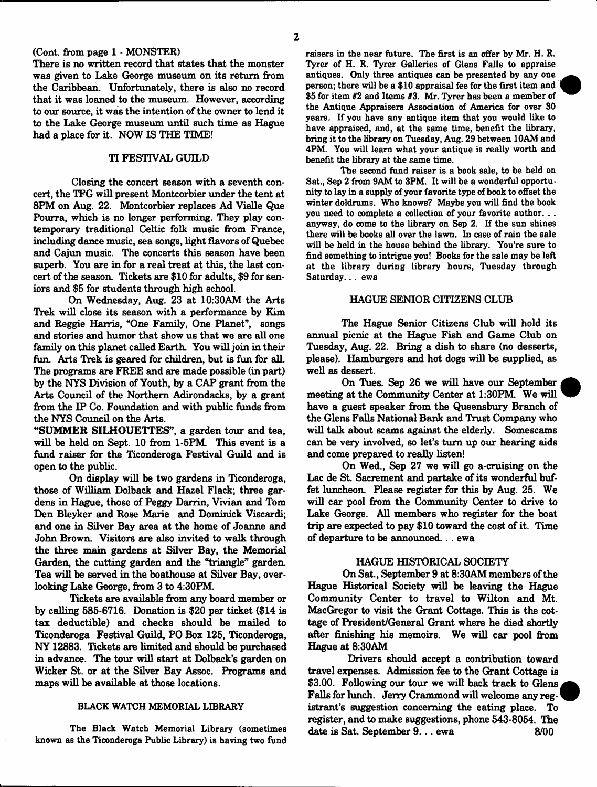# (Cont. from page 1 - MONSTER)

There is no written record that states that the monster was given to Lake George museum on its return from the Caribbean. Unfortunately, there is also no record that it was loaned to the museum. However, according to our source, it was the intention of the owner to lend it to the Lake George museum until such time as Hague had a place for it. NOW IS THE TIME!

# TI FESTIVAL GUILD

Closing the concert season with a seventh concert, the TFG will present Montcorbier under the tent at 8PM on Aug. 22. Montcorbier replaces Ad Vielle Que Pourra, which is no longer performing. They play contemporary traditional Celtic folk music from France, including dance music, sea songs, light flavors of Quebec and Cajun music. The concerts this season have been superb. You are in for a real treat at this, the last concert of the season. Tickets are \$10 for adults, \$9 for seniors and \$5 for students through high school.

On Wednesday, Aug. 23 at 10:30AM the Arts Trek will close its season with a performance by Kim and Reggie Harris, "One Family, One Planet", songs and stories and humor that show us that we are all one family on this planet called Earth. You will join in their fun. Arts Trek is geared for children, but is fun for all. The programs are FREE and are made possible (in part) by the NYS Division of Youth, by a CAP grant from the Arts Council of the Northern Adirondacks, by a grant from the IP Co. Foundation and with public funds from the NYS Council on the Arts.

"SUMMER SILHOUETTES", a garden tour and tea, will be held on Sept. 10 from 1-5PM. This event is a fund raiser for the Ticonderoga Festival Guild and is open to the public.

On display will be two gardens in Ticonderoga, those of William Dolback and Hazel Flack; three gardens in Hague, those of Peggy Darrin, Vivian and Tom Den Bleyker and Rose Marie and Dominick Viscardi; and one in Silver Bay area at the home of Joanne and John Brown. Visitors are also invited to walk through the three main gardens at Silver Bay, the Memorial Garden, the cutting garden and the "triangle" garden. Tea will be served in the boathouse at Silver Bay, overlooking Lake George, from 3 to 4:30PM.

Tickets are available from any board member or by calling 685-6716. Donation i6 \$20 per ticket (\$14 is tax deductible) and checks should be mailed to Ticonderoga Festival Guild, PO Box 125, Ticonderoga, NY 12883. Tickets are limited and should be purchased in advance. The tour will start at Dolback's garden on Wicker St. or at the Silver Bay Assoc. Programs and maps will be available at those locations.

# BLACK WATCH MEMORIAL LIBRARY

The Black Watch Memorial Library (sometimes known as the Ticonderoga Public Library) is having two fund

raisers in the near future. The first is an offer by Mr. H. R. Tyrer of H. R. Tyrer Galleries of Glens Falls to appraise antiques. Only three antiques can be presented by any one person; there will be a \$10 appraisal fee for the first item and \$5 for item *02* and Items #3. Mr. Tyrer has been a member of the Antique Appraisers Association of America for over 30 years. If you have any antique item that you would like to have appraised, and, at the same time, benefit the library, bring it to the library on Tuesday, Aug. 29 between 10AM and 4PM. You will learn what your antique is really worth and benefit the library at the same time.

The second fund raiser is a book sale, to be held on Sat., Sep 2 from 9AM to 3PM. It will be a wonderful opportunity to lay in a supply of your favorite type of book to offset the winter doldrums. Who knows? Maybe you will find the book you need to complete a collection of your favorite author. . . anyway, do come to the library on Sep 2. If the sun shines there will be books all over the lawn. In case of rain the sale will be held in the house behind the library. You're sure to find something to intrigue you! Books for the sale may be left at the library during library hours, Tuesday through Saturday... ewa

# HAGUE SENIOR CITIZENS CLUB

The Hague Senior Citizens Club will hold its annual picnic at the Hague Fish and Game Club on Tuesday, Aug. 22. Bring a dish to share (no desserts, please). Hamburgers and hot dogs will be supplied, as well as dessert.

On Tues. Sep 26 we will have our September meeting at the Community Center at 1:30PM. We will have a guest speaker from the Queensbury Branch of the Glens Falls National Bank and Trust Company who will talk about scams against the elderly. Somescams can be very involved, so let's turn up our hearing aids and come prepared to really listen!

On Wed., Sep 27 we will go a-cruising on the Lac de St. Sacrement and partake of its wonderful buffet luncheon. Please register for this by Aug. 25. We will car pool from the Community Center to drive to Lake George. All members who register for the boat trip are expected to pay \$10 toward the cost of it. Time of departure to be announced. . . ewa

# HAGUE HISTORICAL SOCIETY

On Sat., September 9 at 8:30AM members of the Hague Historical Society will be leaving the Hague Community Center to travel to Wilton and Mt. MacGregor to visit the Grant Cottage. This is the cottage of President/General Grant where he died shortly after finishing his memoirs. We will car pool from Hague at 8:30AM

Drivers should accept a contribution toward travel expenses. Admission fee to the Grant Cottage is \$3.00. Following our tour we will back track to Glens Falls for lunch. Jerry Crammond will welcome any registrant's suggestion concerning the eating place. To register, and to make suggestions, phone 543-8054. The  $\frac{1}{2}$  date is Sat. September 9... ewa 8/00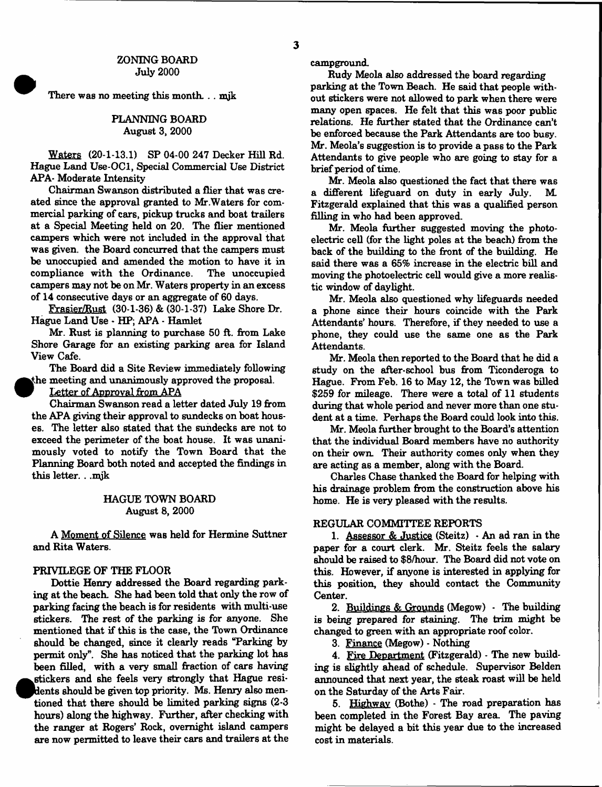## ZONING BOARD July 2000

There was no meeting this month... mjk

# PLANNING BOARD August 3, 2000

Waters (20-1-13.1) SP 04-00 247 Decker Hill Rd. Hague Land Use-OCl, Special Commercial Use District APA- Moderate Intensity

Chairman Swanson distributed a flier that was created since the approval granted to Mr .Waters for commercial parking of cars, pickup trucks and boat trailers at a Special Meeting held on 20. The flier mentioned campers which were not included in the approval that was given, the Board concurred that the campers must be unoccupied and amended the motion to have it in compliance with the Ordinance. The unoccupied campers may not be on Mr. Waters property in an excess of 14 consecutive days or an aggregate of 60 days.

Frasier/Rust (30-1-36) & (30-1-37) Lake Shore Dr. Hague Land Use - HP; APA - Hamlet

Mr. Rust is planning to purchase 50 ft. from Lake Shore Garage for an existing parking area for Island View Cafe.

The Board did a Site Review immediately following the meeting and unanimously approved the proposal.

Letter of Approval from APA

Chairman Swanson read a letter dated July 19 from the APA giving their approval to sundecks on boat houses. The letter also stated that the sundecks are not to exceed the perimeter of the boat house. It was unanimously voted to notify the Town Board that the Planning Board both noted and accepted the findings in this letter. . .mjk

# HAGUE TOWN BOARD August 8, 2000

A Moment of Silence was held for Hermine Suttner and Rita Waters.

## PRIVILEGE OF THE FLOOR

Dottie Henry addressed the Board regarding parking at the beach She had been told that only the row of parking facing the beach is for residents with multi-use stickers. The rest of the parking is for anyone. She mentioned that if this is the case, the Town Ordinance should be changed, since it clearly reads "Parking by permit only". She has noticed that the parking lot has been filled, with a very small fraction of cars having stickers and she feels very strongly that Hague residents should be given top priority. Ms. Henry also mentioned that there should be limited parking signs (2-3 hours) along the highway. Further, after checking with the ranger at Rogers' Rock, overnight island campers are now permitted to leave their cars and trailers at the campground.

Rudy Meola also addressed the board regarding parking at the Town Beach. He said that people without stickers were not allowed to park when there were many open spaces. He felt that this was poor public relations. He further stated that the Ordinance can't be enforced because the Park Attendants are too busy. Mr. Meola's suggestion is to provide a pass to the Park Attendants to give people who are going to stay for a brief period of time.

Mr. Meola also questioned the fact that there was a different lifeguard on duty in early July. M. Fitzgerald explained that this was a qualified person filling in who had been approved.

Mr. Meola further suggested moving the photoelectric cell (for the light poles at the beach) from the back of the building to the front of the building. He said there was a 65% increase in the electric bill and moving the photoelectric cell would give a more realistic window of daylight.

Mr. Meola also questioned why lifeguards needed a phone since their hours coincide with the Park Attendants' hours. Therefore, if they needed to use a phone, they could use the same one as the Park Attendants.

Mr. Meola then reported to the Board that he did a study on the after-school bus from Ticonderoga to Hague. From Feb. 16 to May 12, the Town was billed \$259 for mileage. There were a total of 11 students during that whole period and never more than one student at a time. Perhaps the Board could look into this.

Mr. Meola further brought to the Board's attention that the individual Board members have no authority on their own. Their authority comes only when they are acting as a member, along with the Board.

Charles Chase thanked the Board for helping with his drainage problem from the construction above his home. He is very pleased with the results.

## REGULAR COMMITTEE REPORTS

1. Assessor & Justice (Steitz)  $\cdot$  An ad ran in the paper for a court clerk. Mr. Steitz feels the salary should be raised to \$8/hour. The Board did not vote on this. However, if anyone is interested in applying for this position, they should contact the Community Center.

2. Buildings & Grounds (Megow) - The building is being prepared for staining. The trim might be changed to green with an appropriate roof color.

3. Finance (Megow) - Nothing

4. Fire Department (Fitzgerald) - The new building is slightly ahead of schedule. Supervisor Belden announced that next year, the steak roast will be held on the Saturday of the Arts Fair.

5. Highway (Bothe) - The road preparation has been completed in the Forest Bay area. The paving might be delayed a bit this year due to the increased cost in materials.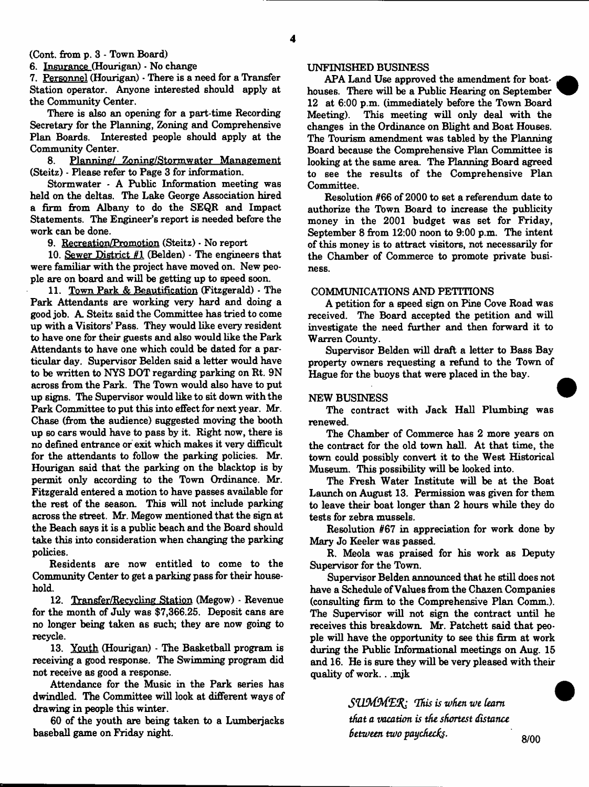(Cont. from **p.** 3 - Town Board)

6. Insurance (Hourigan) - No change

7. Personnel (Hourigan) \* There is a need for a Transfer Station operator. Anyone interested should apply at the Community Center.

There is also an opening for a part-time Recording Secretary for the Planning, Zoning and Comprehensive Plan Boards. Interested people should apply at the Community Center.

8. Planning/ Zoning/Stormwater Management (Steitz) - Please refer to Page 3 for information.

Stormwater - A Public Information meeting was held on the deltas. The Lake George Association hired a firm from Albany to do the SEQR and Impact Statements. The Engineer's report is needed before the work can be done.

9. Recreation/Promotion (Steitz) - No report

10. Sewer District  $#1$  (Belden) - The engineers that were familiar with the project have moved on. New people are on board and will be getting up to speed soon.

11. Town Park & Beautification (Fitzgerald) - The Park Attendants are working very hard and doing a good job. A. Steitz said the Committee has tried to come up with a Visitors' Pass. They would like every resident to have one for their guests and also would like the Park Attendants to have one which could be dated for a particular day. Supervisor Belden said a letter would have to be written to NYS DOT regarding parking on Rt. 9N across from the Park. The Town would also have to put up signs. The Supervisor would like to sit down with the Park Committee to put this into effect for next year. Mr. Chase (from the audience) suggested moving the booth up so cars would have to pass by it. Right now, there is no defined entrance or exit which makes it very difficult for the attendants to follow the parking policies. Mr. Hourigan said that the parking on the blacktop is by permit only according to the Town Ordinance. Mr. Fitzgerald entered a motion to have passes available for the rest of the season. This will not include parking across the street. Mr. Megow mentioned that the sign at the Beach says it is a public beach and the Board should take this into consideration when changing the parking policies.

Residents are now entitled to come to the Community Center to get a parking pass for their household.

12. Transfer/Recvcling Station (Megow) - Revenue for the month of July was \$7,366.25. Deposit cans are no longer being taken as such; they are now going to recycle.

13. Youth (Hourigan) - The Basketball program is receiving a good response. The Swimming program did not receive as good a response.

Attendance for the Music in the Park series has dwindled. The Committee will look at different ways of drawing in people this winter.

60 of the youth are being taken to a Lumberjacks baseball game on Friday night.

## UNFINISHED BUSINESS

APA Land Use approved the amendment for boathouses. There will be a Public Hearing on September 12 at 6:00 p.m. (immediately before the Town Board Meeting). This meeting will only deal with the changes in the Ordinance on Blight and Boat Houses. The Tourism amendment was tabled by the Planning Board because the Comprehensive Flan Committee is looking at the same area. The Planning Board agreed to see the results of the Comprehensive Plan Committee.

Resolution #66 of 2000 to set a referendum date to authorize the Town Board to increase the publicity money in the 2001 budget was set for Friday, September 8 from 12:00 noon to 9:00 p.m. The intent of this money is to attract visitors, not necessarily for the Chamber of Commerce to promote private business.

#### COMMUNICATIONS AND PETITIONS

A petition for a speed sign on Pine Cove Road was received. The Board accepted the petition and will investigate the need further and then forward it to Warren County.

Supervisor Belden will draft a letter to Bass Bay property owners requesting a refund to the Town of Hague for the buoys that were placed in the bay.

### NEW BUSINESS

The contract with Jack Hall Plumbing was renewed.

The Chamber of Commerce has 2 more years on the contract for the old town hall. At that time, the town could possibly convert it to the West Historical Museum. This possibility will be looked into.

The Fresh Water Institute will be at the Boat Launch on August 13. Permission was given for them to leave their boat longer than 2 hours while they do tests for zebra mussels.

Resolution #67 in appreciation for work done by Mary Jo Keeler was passed.

R. Meola was praised for his work as Deputy Supervisor for the Town.

Supervisor Belden announced that he still does not have a Schedule of Values from the Chazen Companies (consulting firm to the Comprehensive Plan Comm.). The Supervisor will not sign the contract until he receives this breakdown. Mr. Patchett said that people will have the opportunity to see this firm at work during the Public Informational meetings on Aug. 15 and 16. He is sure they will be very pleased with their quality of work.. .mjk

> SUMMER: This is when we learn *that a vacation is the shortest distance Between two paychecfe. '*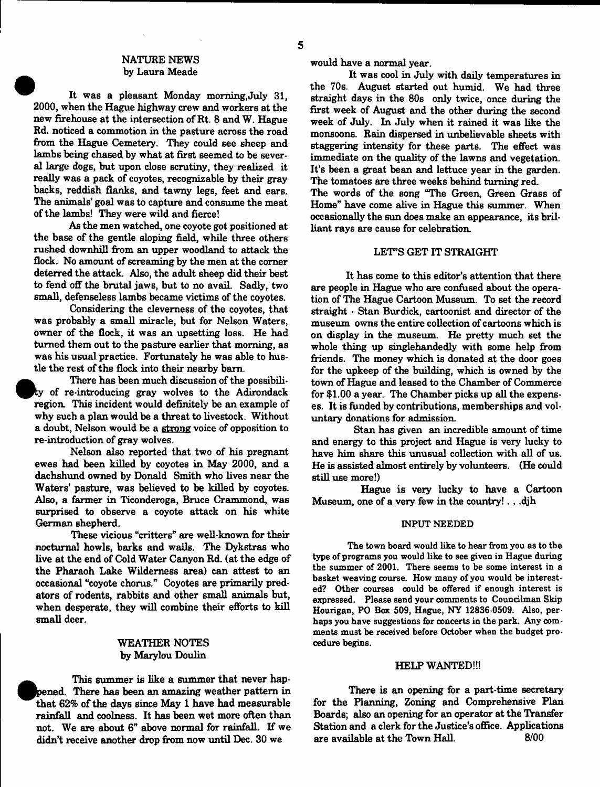### NATURE NEWS by Laura Meade

It was a pleasant Monday morning,July 31, 2000, when the Hague highway crew and workers at the new firehouse at the intersection of Rt. 8 and W. Hague Rd. noticed a commotion in the pasture across the road from the Hague Cemetery. They could see sheep and lambs being chased by what at first seemed to be several large dogs, but upon close scrutiny, they realized it really was a pack of coyotes, recognizable by their gray backs, reddish flanks, and tawny legs, feet and ears. The animals' goal was to capture and consume the meat of the lambs! They were wild and fierce!

As the men watched, one coyote got positioned at the base of the gentle sloping field, while three others rushed downhill from an upper woodland to attack the flock. No amount of screaming by the men at the corner deterred the attack. Also, the adult sheep did their best to fend off the brutal jaws, but to no avail. Sadly, two small, defenseless lambs became victims of the coyotes.

Considering the cleverness of the coyotes, that was probably a small miracle, but for Nelson Waters, owner of the flock, it was an upsetting loss. He had turned them out to the pasture earlier that morning, as was his usual practice. Fortunately he was able to hustle the rest of the flock into their nearby bam.

There has been much discussion of the possibility of re-introducing gray wolves to the Adirondack region. This incident would definitely be an example of why such a plan would be a threat to livestock. Without a doubt, Nelson would be a strong voice of opposition to re-introduction of gray wolves.

Nelson also reported that two of his pregnant ewes had been killed by coyotes in May 2000, and a dachshund owned by Donald Smith who lives near the Waters' pasture, was believed to be killed by coyotes. Also, a farmer in Ticonderoga, Bruce Crammond, was surprised to observe a coyote attack on his white German shepherd.

These vicious "critters" are well-known for their nocturnal howls, barks and wails. The Dykstras who live at the end of Cold Water Canyon Rd. (at the edge of the Pharaoh Lake Wilderness area) can attest to an occasional "coyote chorus." Coyotes are primarily predators of rodents, rabbits and other small animals but, when desperate, they will combine their efforts to kill small deer.

# WEATHER NOTES by Marylou Doulin

pened. There has been an amazing weather pattern in This summer is like a summer that never hapthat 62% of the days since May 1 have had measurable rainfall and coolness. It has been wet more often than not. We are about 6" above normal for rainfall. If we didn't receive another drop from now until Dec. 30 we

would have a normal year.

It was cool in July with daily temperatures in the 70s. August started out humid. We had three straight days in the 80s only twice, once during the first week of August and the other during the second week of July. In July when it rained it was like the monsoons. Rain dispersed in unbelievable sheets with staggering intensity for these parts. The effect was immediate on the quality of the lawns and vegetation. It's been a great bean and lettuce year in the garden. The tomatoes are three weeks behind turning red.

The words of the song "The Green, Green Grass of Home" have come alive in Hague this summer. When occasionally the sun does make an appearance, its brilliant rays are cause for celebration.

### LET"S GET IT STRAIGHT

It has come to this editor's attention that there are people in Hague who are confused about the operation of The Hague Cartoon Museum. To set the record straight \* Stan Burdick, cartoonist and director of the museum owns the entire collection of cartoons which is on display in the museum. He pretty much set the whole thing up singlehandedly with some help from friends. The money which is donated at the door goes for the upkeep of the building, which is owned by the town of Hague and leased to the Chamber of Commerce for \$1.00 a year. The Chamber picks up all the expenses. It is funded by contributions, memberships and voluntary donations for admission.

Stan has given an incredible amount of time and energy to this project and Hague is very lucky to have him share this unusual collection with all of us. He is assisted almost entirely by volunteers. (He could still use more!)

Hague is very lucky to have a Cartoon Museum, one of a very few in the country!.. .djh

#### INPUT NEEDED

The town board would like to hear from you as to the type of programs you would like to see given in Hague during the summer of 2001. There seems to be some interest in a basket weaving course. How many of you would be interested? Other courses could be offered if enough interest is expressed. Please send your comments to Councilman Skip Hourigan, PO Box 509, Hague, NY 12836-0509. Also, perhaps you have suggestions for concerts in the park. Any comments must be received before October when the budget procedure begins.

#### HELP WANTED!!!

There is an opening for a part-time secretary for the Planning, Zoning and Comprehensive Plan Boards; also an opening for an operator at the Transfer Station and a clerk for the Justice's office. Applications are available at the Town Hall. 8/00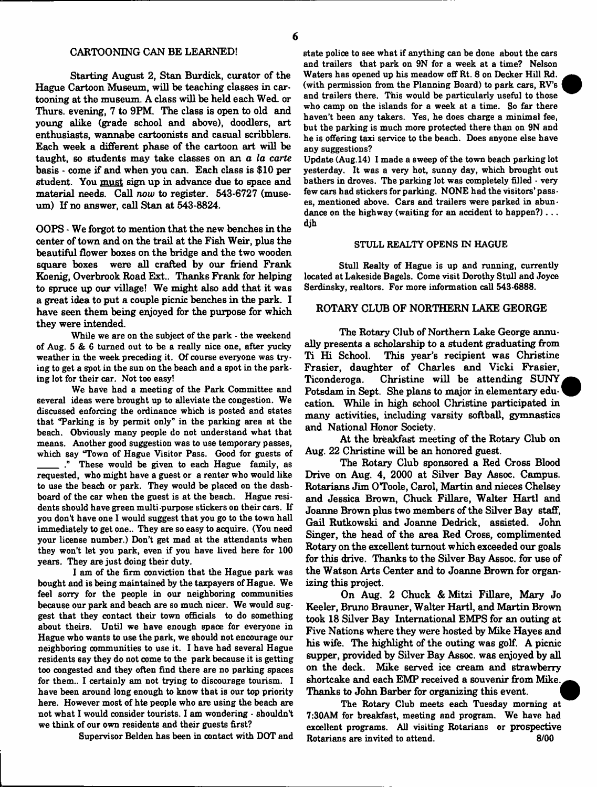#### CARTOONING CAN BE LEARNED!

Starting August 2, Stan Burdick, curator of the Hague Cartoon Museum, will be teaching classes in cartooning at the museum. A class will be held each Wed. or Thurs. evening, 7 to 9PM. The class is open to old and young alike (grade school and above), doodlers, art enthusiasts, wannabe cartoonists and casual scribblers. Each week a different phase of the cartoon art will be taught, so students may take classes on an *a la carte* basis - come if and when you can. Each class is \$10 per student. You must sign up in advance due to space and material needs. Call *now* to register. 543-6727 (museum) If no answer, call Stan at 543-8824.

OOPS - We forgot to mention that the new benches in the center of town and on the trail at the Fish Weir, plus the beautiful flower boxes on the bridge and the two wooden square boxes were all crafted by our friend Frank Koenig, Overbrook Road Ext.. Thanks Frank for helping to spruce up our village! We might also add that it was a great idea to put a couple picnic benches in the park. I have seen them being enjoyed for the purpose for which they were intended.

While we are on the subject of the park - the weekend of Aug. 5 & 6 turned out to be a really nice one, after yucky weather in the week preceding it. Of course everyone was trying to get a spot in the sun on the beach and a spot in the parking lot for their car. Not too easy!

We have had a meeting of the Park Committee and several ideas were brought up to alleviate the congestion. We discussed enforcing the ordinance which is posted and states that "Parking is by permit only" in the parking area at the beach. Obviously many people do not understand what that means. Another good suggestion was to use temporary passes, which say "Town of Hague Visitor Pass. Good for guests of These would be given to each Hague family, as requested, who might have a guest or a renter who would like to use the beach or park. They would be placed on the dashboard of the car when the guest is at the beach. Hague residents should have green multi-purpose stickers on their cars. If you don't have one I would suggest that you go to the town hall immediately to get one.. They are so easy to acquire. (You need your license number.) Don't get mad at the attendants when they won't let you park, even if you have lived here for 100 years. They are just doing their duty.

I am of the firm conviction that the Hague park was bought and is being maintained by the taxpayers of Hague. We feel sorry for the people in our neighboring communities because our park and beach are so much nicer. We would suggest that they contact their town officials to do something about theirs. Until we have enough space for everyone in Hague who wants to use the park, we should not encourage our neighboring communities to use it. I have had several Hague residents say they do not come to the park because it is getting too congested and they often find there are no parking spaces for them.. I certainly am not trying to discourage tourism. I have been around long enough to know that is our top priority here. However most of hte people who are using the beach are not what I would consider tourists. I am wondering - shouldn't we think of our own residents and their guests first?

Supervisor Belden has been in contact with DOT and

state police to see what if anything can be done about the cars and trailers that park on 9N for a week at a time? Nelson Waters has opened up his meadow off Rt. 8 on Decker Hill Rd. (with permission from the Planning Board) to park cars, RV's and trailers there. This would be particularly useful to those who camp on the islands for a week at a time. So far there haven't been any takers. Yes, he does charge a minimal fee, but the parking is much more protected there than on 9N and he is offering taxi service to the beach. Does anyone else have any suggestions?

Update (Aug. 14) I made a sweep of the town beach parking lot yesterday. It was a very hot, sunny day, which brought out bathers in droves. The parking lot was completely filled - very few cars had stickers for parking. NONE had the visitors' passes, mentioned above. Cars and trailers were parked in abundance on the highway (waiting for an accident to happen?)... djh

#### STULL REALTY OPENS IN HAGUE

Stull Realty of Hague is up and running, currently located at Lakeside Bagels. Come visit Dorothy Stull and Joyce Serdinsky, realtors. For more information call 543-6888.

# ROTARY CLUB OF NORTHERN LAKE GEORGE

The Rotary Club of Northern Lake George annually presents a scholarship to a student graduating from Ti Hi School. This year's recipient was Christine Frasier, daughter of Charles and Vicki Frasier, Ticonderoga. Christine will be attending SUNY Potsdam in Sept. She plans to major in elementary education. While in high school Christine participated in many activities, including varsity softball, gymnastics and National Honor Society.

At the breakfast meeting of the Rotary Club on Aug. 22 Christine will be an honored guest.

The Rotary Club sponsored a Red Cross Blood Drive on Aug. 4, 2000 at Silver Bay Assoc. Campus. Rotarians Jim OToole, Carol, Martin and nieces Chelsey and Jessica Brown, Chuck Fillare, Walter Hartl and Joanne Brown plus two members of the Silver Bay staff, Gail Rutkowski and Joanne Dedrick, assisted. John Singer, the head of the area Red Cross, complimented Rotary on the excellent turnout which exceeded our goals for this drive. Thanks to the Silver Bay Assoc, for use of the Watson Arts Center and to Joanne Brown for organizing this project.

On Aug. 2 Chuck *&* Mitzi Fillare, Mary Jo Keeler, Bruno Brauner, Walter Hartl, and Martin Brown took 18 Silver Bay International EMPS for an outing at Five Nations where they were hosted by Mike Hayes and his wife. The highlight of the outing was golf. A picnic supper, provided by Silver Bay Assoc, was enjoyed by all on the deck. Mike served ice cream and strawberry shortcake and each EMP received a souvenir from Mike. Thanks to John Barber for organizing this event.

The Rotary Club meets each Tuesday morning at 7:30AM for breakfast, meeting and program. We have had excellent programs. All visiting Rotarians or prospective Rotarians are invited to attend. 8/00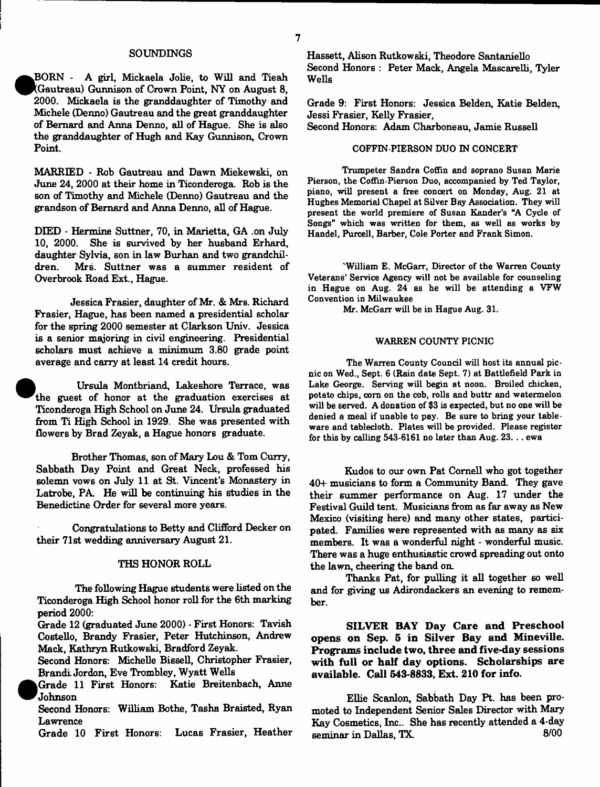#### SOUNDINGS

**•** BORN - A girl, Mickaela Jolie, to Will and Tieah (Gautreau) Gunnison of Crown Point, NY on August 8, 2000. Mickaela is the granddaughter of Timothy and Michele (Denno) Gautreau and the great granddaughter of Bernard and Anna Denno, all of Hague. She is also the granddaughter of Hugh and Kay Gunnison, Crown Point.

MARRIED - Rob Gautreau and Dawn Miekewski, on June 24, 2000 at their home in Ticonderoga. Rob is the son of Timothy and Michele (Denno) Gautreau and the grandson of Bernard and Anna Denno, all of Hague.

DIED - Hermine Suttner, 70, in Marietta, GA .on July 10, 2000. She is survived by her husband Erhard, daughter Sylvia, son in law Burhan and two grandchildren. Mrs. Suttner was a summer resident of Overbrook Road Ext., Hague.

Jessica Frasier, daughter of Mr. & Mrs. Richard Frasier, Hague, has been named a presidential scholar for the spring 2000 semester at Clarkson Univ. Jessica is a senior majoring in civil engineering. Presidential scholars must achieve a minimum 3.80 grade point average and carry at least 14 credit hours.

 Ursula Montbriand, Lakeshore Terrace, was the guest of honor at the graduation exercises at Ticonderoga High School on June 24. Ursula graduated from Ti High School in 1929. She was presented with flowers by Brad Zeyak, a Hague honors graduate.

•

Brother Thomas, son of Mary Lou & Tom Curry, Sabbath Day Point and Great Neck, professed his solemn vows on July 11 at St. Vincent's Monastery in Latrobe, PA. He will be continuing his studies in the Benedictine Order for several more years.

Congratulations to Betty and Clifford Decker on their 71st wedding anniversary August 21.

#### THS HONOR ROLL

The following Hague students were listed on the Ticonderoga High School honor roll for the 6th marking period 2000:

Grade 12 (graduated June 2000) - First Honors: Tavish Costello, Brandy Frasier, Peter Hutchinson, Andrew Mack, Kathryn Rutkowski, Bradford Zeyak.

Second Honors: Michelle Bissell, Christopher Frasier, Brandi Jordon, Eve Trombley, Wyatt Wells

 $\bullet$ Grade 11 First Honors: Katie Breitenbach, Anne Johnson

Second Honors: William Bothe, Tasha Braisted, Ryan Lawrence

Grade 10 First Honors: Lucas Frasier, Heather

Hassett, Alison Rutkowski, Theodore Santaniello Second Honors : Peter Mack, Angela Mascarelli, Tyler Wells

Grade 9: First Honors: Jessica Belden, Katie Belden, Jessi Frasier, Kelly Frasier,

Second Honors: Adam Charboneau, Jamie Russell

## COFFIN-PIERSON DUO IN CONCERT

Trumpeter Sandra Coffin and soprano Susan Marie Pierson, the Coffin-Pierson Duo, accompanied by Ted Taylor, piano, will present a free concert on Monday, Aug. 21 at Hughes Memorial Chapel at Silver Bay Association. They will present the world premiere of Susan Kander's "A Cycle of Songs" which was written for them, as well as works by Handel, Purcell, Barber, Cole Porter and Frank Simon.

'William E. McGarr, Director of the Warren County Veterans' Service Agency will not be available for counseling in Hague on Aug. 24 as he will be attending a VFW Convention in Milwaukee

Mr. McGarr will be in Hague Aug. 31.

#### WARREN COUNTY PICNIC

The Warren County Council will host its annual picnic on Wed., Sept. 6 (Rain date Sept. 7) at Battlefield Park in Lake George. Serving will begin at noon. Broiled chicken, potato chips, com on the cob, rolls and buttr and watermelon will be served. A donation of \$3 is expected, but no one will be denied a meal if unable to pay. Be sure to bring your tableware and tablecloth. Plates will be provided. Please register for this by calling  $543-6161$  no later than Aug.  $23...$  ewa

Kudos to our own Pat Cornell who got together 40+ musicians to form a Community Band. They gave their summer performance on Aug. 17 under the Festival Guild tent. Musicians from as far away as New Mexico (visiting here) and many other states, participated. Families were represented with as many as six members. It was a wonderful night - wonderful music. There was a huge enthusiastic crowd spreading out onto the lawn, cheering the band on.

Thanks Pat, for pulling it all together so well and for giving us Adirondackers an evening to remember.

**SILVER BAY Day Care and Preschool opens on Sep. 5 in Silver Bay and Mineville. Programs include two, three and five-day sessions with full or half day options. Scholarships are available. Call 543-8833, Ext. 210 for info.**

Ellie Scanlon, Sabbath Day Pt. has been promoted to Independent Senior Sales Director with Mary Kay Cosmetics, Inc.. She has recently attended a 4-day seminar in Dallas, TX.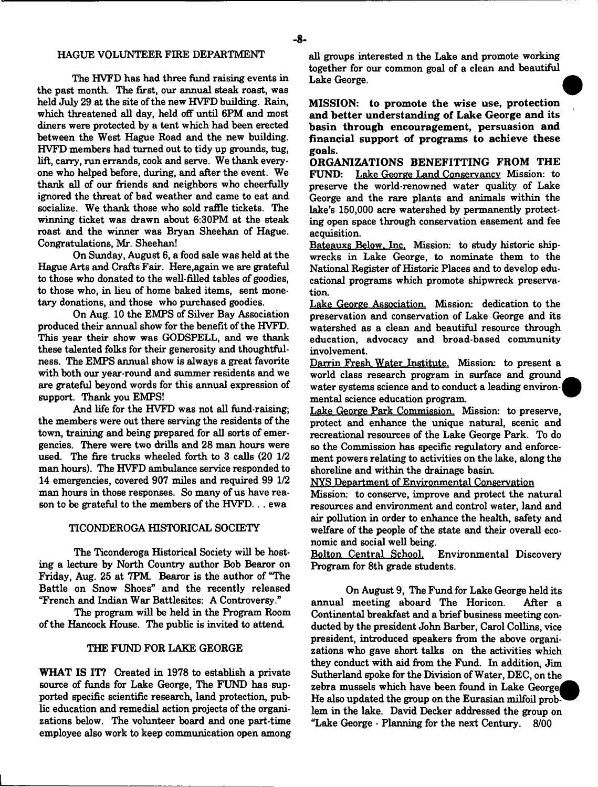#### HAGUE VOLUNTEER FIRE DEPARTMENT

The HVFD has had three fund raising events in the past month. The first, our annual steak roast, was held July 29 at the site of the new HVFD building. Rain, which threatened all day, held off until 6PM and most diners were protected by a tent which had been erected between the West Hague Road and the new building. HVFD members had turned out to tidy up grounds, tug, lift, carry, run errands, cook and serve. We thank everyone who helped before, during, and after the event. We thank all of our friends and neighbors who cheerfully ignored the threat of bad weather and came to eat and socialize. We thank those who sold raffle tickets. The winning ticket was drawn about 6:30PM at the steak roast and the winner was Bryan Sheehan of Hague. Congratulations, Mr. Sheehan!

On Sunday, August 6, a food sale was held at the Hague Arts and Crafts Fair. Here,again we are grateful to those who donated to the well-filled tables of goodies, to those who, in lieu of home baked items, sent monetary donations, and those who purchased goodies.

On Aug. 10 the EMPS of Silver Bay Association produced their annual show for the benefit of the HVFD. This year their show was GODSPELL, and we thank these talented folks for their generosity and thoughtfulness. The EMPS annual show is always a great favorite with both our year-round and summer residents and we are grateful beyond words for this annual expression of support. Thank you EMPS!

And life for the HVFD was not all fund-raising; the members were out there serving the residents of the town, training and being prepared for all sorts of emergencies. There were two drills and 28 man hours were used. The fire trucks wheeled forth to 3 calls (20 1/2 man hours). The HVFD ambulance service responded to 14 emergencies, covered 907 miles and required 99 1/2 man hours in those responses. So many of us have reason to be grateful to the members of the HVFD... ewa

# TICONDEROGA HISTORICAL SOCIETY

The Ticonderoga Historical Society will be hosting a lecture by North Country author Bob Bearor on Friday, Aug. 25 at 7PM. Bearor is the author of "The Battle on Snow Shoes" and the recently released "French and Indian War Battlesites: A Controversy."

The program will be held in the Program Room of the Hancock House. The public is invited to attend.

### THE FUND FOR LAKE GEORGE

WHAT IS IT? Created in 1978 to establish a private source of funds for Lake George, The FUND has supported specific scientific research, land protection, public education and remedial action projects of the organizations below. The volunteer board and one part-time employee also work to keep communication open among all groups interested n the Lake and promote working together for our common goal of a clean and beautiful Lake George.

MISSION: to promote the wise use, protection and better understanding of Lake George and its basin through encouragement, persuasion and financial support of programs to achieve these goals.

ORGANIZATIONS BENEFITTING FROM THE FUND: Lake George Land Conservancy Mission: to preserve the world-renowned water quality of Lake George and the rare plants and animals within the lake's 150,000 acre watershed by permanently protecting open space through conservation easement and fee acquisition.

Bateauxs Below. Inc. Mission: to study historic shipwrecks in Lake George, to nominate them to the National Register of Historic Places and to develop educational programs which promote shipwreck preservation.

Lake George Association. Mission: dedication to the preservation and conservation of Lake George and its watershed as a clean and beautiful resource through education, advocacy and broad-based community involvement.

Darrin Fresh Water Institute. Mission: to present a world class research program in surface and ground water systems science and to conduct a leading environmental science education program.

Lake George Park Commission. Mission: to preserve, protect and enhance the unique natural, scenic and recreational resources of the Lake George Park. To do so the Commission has specific regulatory and enforcement powers relating to activities on the lake, along the shoreline and within the drainage basin.

NYS Department of Environmental Conservation

Mission: to conserve, improve and protect the natural resources and environment and control water, land and air pollution in order to enhance the health, safety and welfare of the people of the state and their overall economic and social well being.<br>Bolton\_Central\_School.

Environmental Discovery Program for 8th grade students.

On August 9, The Fund for Lake George held its annual meeting aboard The Horicon. After a Continental breakfast and a brief business meeting conducted by the president John Barber, Carol Collins, vice president, introduced speakers from the above organizations who gave short talks on the activities which they conduct with aid from the Fund. In addition, Jim Sutherland spoke for the Division of Water, DEC, on the zebra mussels which have been found in Lake Georgej He also updated the group on the Eurasian milfoil problem in the lake. David Decker addressed the group on "Lake George - Planning for the next Century. 8/00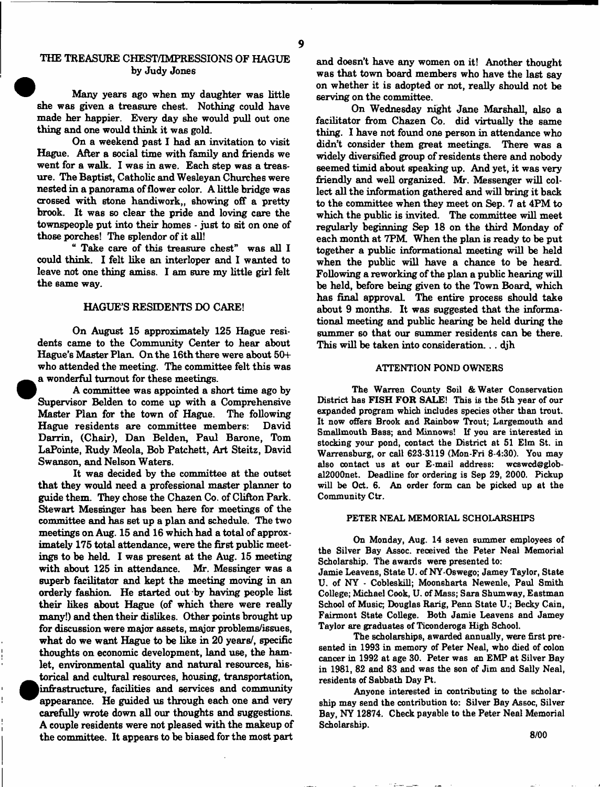# THE TREASURE CHEST/IMPRESSIONS OF HAGUE by Judy Jones

Many years ago when my daughter was little she was given a treasure chest. Nothing could have made her happier. Every day she would pull out one thing and one would think it was gold.

On a weekend past I had an invitation to visit Hague. After a social time with family and friends we went for a walk. I was in awe. Each step was a treasure. The Baptist, Catholic and Wesleyan Churches were nested in a panorama of flower color. A little bridge was crossed with stone handiwork,, showing off a pretty brook. It was so clear the pride and loving care the townspeople put into their homes - just to sit on one of those porches! The splendor of it all!

" Take care of this treasure chest" was all I could think. I felt like an interloper and I wanted to leave not one thing amiss. I am sure my little girl felt the same way.

#### HAGUE'S RESIDENTS DO CARE!

On August 15 approximately 125 Hague residents came to the Community Center to hear about Hague's Master Plan. On the 16th there were about 50+ who attended the meeting. The committee felt this was a wonderful turnout for these meetings.

A committee was appointed a short time ago by Supervisor Belden to come up with a Comprehensive Master Plan for the town of Hague. The following Hague residents are committee members: David Darrin, (Chair), Dan Belden, Paul Barone, Tom LaPointe, Rudy Meola, Bob Patchett, Art Steitz, David Swanson, and Nelson Waters.

It was decided by the committee at the outset that they would need a professional master planner to guide them. They chose the Chazen Co. of Clifton Park. Stewart Messinger has been here for meetings of the committee and has set up a plan and schedule. The two meetings on Aug. 15 and 16 which had a total of approximately 175 total attendance, were the first public meetings to be held. I was present at the Aug. 15 meeting with about 125 in attendance. Mr. Messinger was a superb facilitator and kept the meeting moving in an orderly fashion. He started out by having people list their likes about Hague (of which there were really many!) and then their dislikes. Other points brought up for discussion were major assets, major problems/issues, what do we want Hague to be like in 20 years/, specific thoughts on economic development, land use, the hamlet, environmental quality and natural resources, historical and cultural resources, housing, transportation, |infrastructure, facilities and services and community appearance. He guided us through each one and very carefully wrote down all our thoughts and suggestions. A couple residents were not pleased with the makeup of the committee. It appears to be biased for the most part

and doesn't have any women on it! Another thought was that town board members who have the last say on whether it is adopted or not, really should not be serving on the committee.

On Wednesday night Jane Marshall, also a facilitator from Chazen Co. did virtually the same thing. I have not found one person in attendance who didn't consider them great meetings. There was a widely diversified group of residents there and nobody seemed timid about speaking up. And yet, it was very friendly and well organized. Mr. Messenger will collect all the information gathered and will bring it back to the committee when they meet on Sep. 7 at 4PM to which the public is invited. The committee will meet regularly beginning Sep 18 on the third Monday of each month at 7PM. When the plan is ready to be put together a public informational meeting will be held when the public will have a chance to be heard. Following a reworking of the plan a public hearing will be held, before being given to the Town Board, which has final approval. The entire process should take about 9 months. It was suggested that the informational meeting and public hearing be held during the summer so that our summer residents can be there. This will be taken into consideration... djh

## ATTENTION POND OWNERS

The Warren County Soil & Water Conservation District has FISH FOR SALE! This is the 5th year of our expanded program which includes species other than trout. It now offers Brook and Rainbow Trout; Largemouth and Smallmouth Bass; and Minnows! If you are interested in stocking your pond, contact the District at 51 Elm St. in Warrensburg, or call 623-3119 (Mon-Fri 8-4:30). You may also contact us at our E-mail address: wcswcd@global2000net. Deadline for ordering is Sep 29, 2000. Pickup will be Oct. 6. An order form can be picked up at the Community Ctr.

#### PETER NEAL MEMORIAL SCHOLARSHIPS

On Monday, Aug. 14 seven summer employees of the Silver Bay Assoc, received the Peter Neal Memorial Scholarship. The awards were presented to:

Jamie Leavens, State U. of NY-Oswego; Jamey Taylor, State U. of NY - Cobleskill; Moonsharta Newenle, Paul Smith College; Michael Cook, U. of Mass; Sara Shumway, Eastman School of Music; Douglas Rarig, Penn State U.; Becky Cain, Fairmont State College. Both Jamie Leavens and Jamey Taylor are graduates of Ticonderoga High School.

The scholarships, awarded annually, were first presented in 1993 in memory of Peter Neal, who died of colon cancer in 1992 at age 30. Peter was an EMP at Silver Bay in 1981, 82 and 83 and was the son of Jim and Sally Neal, residents of Sabbath Day Pt.

Anyone interested in contributing to the scholarship may send the contribution to: Silver Bay Assoc, Silver Bay, NY 12874. Check payable to the Peter Neal Memorial Scholarship.